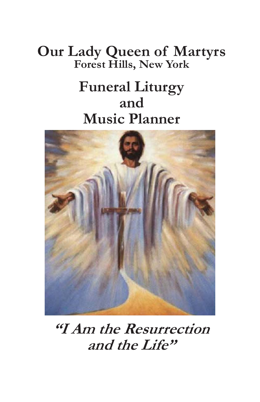## **Our Lady Queen of Martyrs Forest Hills, New York**

# **Funeral Liturgy and Music Planner**



**"I Am the Resurrection and the Life"**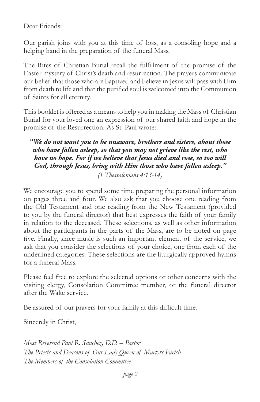Dear Friends:

Our parish joins with you at this time of loss, as a consoling hope and a helping hand in the preparation of the funeral Mass.

The Rites of Christian Burial recall the fulfillment of the promise of the Easter mystery of Christ's death and resurrection. The prayers communicate our belief that those who are baptized and believe in Jesus will pass with Him from death to life and that the purified soul is welcomed into the Communion of Saints for all eternity.

This booklet is offered as a means to help you in making the Mass of Christian Burial for your loved one an expression of our shared faith and hope in the promise of the Resurrection. As St. Paul wrote:

*"We do not want you to be unaware, brothers and sisters, about those who have fallen asleep, so that you may not grieve like the rest, who have no hope. For if we believe that Jesus died and rose, so too will God, through Jesus, bring with Him those who have fallen asleep."* 

*(1 Thessalonians 4:13-14)* 

We encourage you to spend some time preparing the personal information on pages three and four. We also ask that you choose one reading from the Old Testament and one reading from the New Testament (provided to you by the funeral director) that best expresses the faith of your family in relation to the deceased. These selections, as well as other information about the participants in the parts of the Mass, are to be noted on page five. Finally, since music is such an important element of the service, we ask that you consider the selections of your choice, one from each of the underlined categories. These selections are the liturgically approved hymns for a funeral Mass.

Please feel free to explore the selected options or other concerns with the visiting clergy, Consolation Committee member, or the funeral director after the Wake service.

Be assured of our prayers for your family at this difficult time.

Sincerely in Christ,

*Most Reverend Paul R. Sanchez, D.D. – Pastor The Priests and Deacons of Our Lady Queen of Martyrs Parish The Members of the Consolation Committee*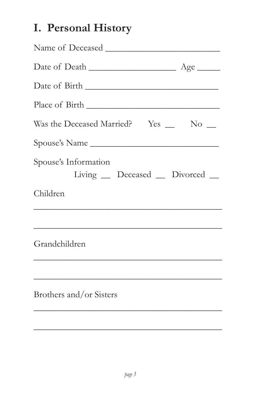## **I. Personal History**

| Was the Deceased Married? Yes _ No _                   |
|--------------------------------------------------------|
| Spouse's Name                                          |
| Spouse's Information<br>Living _ Deceased _ Divorced _ |
| Children                                               |
|                                                        |
| Grandchildren                                          |
|                                                        |
| Brothers and/or Sisters                                |
|                                                        |

 $\frac{1}{2}$  ,  $\frac{1}{2}$  ,  $\frac{1}{2}$  ,  $\frac{1}{2}$  ,  $\frac{1}{2}$  ,  $\frac{1}{2}$  ,  $\frac{1}{2}$  ,  $\frac{1}{2}$  ,  $\frac{1}{2}$  ,  $\frac{1}{2}$  ,  $\frac{1}{2}$  ,  $\frac{1}{2}$  ,  $\frac{1}{2}$  ,  $\frac{1}{2}$  ,  $\frac{1}{2}$  ,  $\frac{1}{2}$  ,  $\frac{1}{2}$  ,  $\frac{1}{2}$  ,  $\frac{1$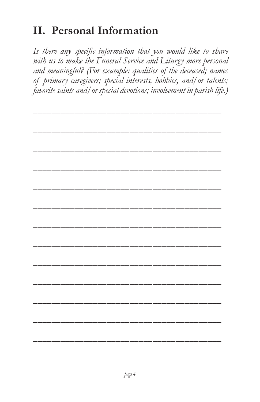## **II. Personal Information**

*Is there any specific information that you would like to share with us to make the Funeral Service and Liturgy more personal and meaningful? (For example: qualities of the deceased; names of primary caregivers; special interests, hobbies, and/or talents; favorite saints and/or special devotions; involvement in parish life.)*

**\_\_\_\_\_\_\_\_\_\_\_\_\_\_\_\_\_\_\_\_\_\_\_\_\_\_\_\_\_\_\_\_\_\_\_\_\_\_\_\_\_**

**\_\_\_\_\_\_\_\_\_\_\_\_\_\_\_\_\_\_\_\_\_\_\_\_\_\_\_\_\_\_\_\_\_\_\_\_\_\_\_\_\_ \_\_\_\_\_\_\_\_\_\_\_\_\_\_\_\_\_\_\_\_\_\_\_\_\_\_\_\_\_\_\_\_\_\_\_\_\_\_\_\_\_ \_\_\_\_\_\_\_\_\_\_\_\_\_\_\_\_\_\_\_\_\_\_\_\_\_\_\_\_\_\_\_\_\_\_\_\_\_\_\_\_\_ \_\_\_\_\_\_\_\_\_\_\_\_\_\_\_\_\_\_\_\_\_\_\_\_\_\_\_\_\_\_\_\_\_\_\_\_\_\_\_\_\_ \_\_\_\_\_\_\_\_\_\_\_\_\_\_\_\_\_\_\_\_\_\_\_\_\_\_\_\_\_\_\_\_\_\_\_\_\_\_\_\_\_ \_\_\_\_\_\_\_\_\_\_\_\_\_\_\_\_\_\_\_\_\_\_\_\_\_\_\_\_\_\_\_\_\_\_\_\_\_\_\_\_\_ \_\_\_\_\_\_\_\_\_\_\_\_\_\_\_\_\_\_\_\_\_\_\_\_\_\_\_\_\_\_\_\_\_\_\_\_\_\_\_\_\_ \_\_\_\_\_\_\_\_\_\_\_\_\_\_\_\_\_\_\_\_\_\_\_\_\_\_\_\_\_\_\_\_\_\_\_\_\_\_\_\_\_ \_\_\_\_\_\_\_\_\_\_\_\_\_\_\_\_\_\_\_\_\_\_\_\_\_\_\_\_\_\_\_\_\_\_\_\_\_\_\_\_\_ \_\_\_\_\_\_\_\_\_\_\_\_\_\_\_\_\_\_\_\_\_\_\_\_\_\_\_\_\_\_\_\_\_\_\_\_\_\_\_\_\_ \_\_\_\_\_\_\_\_\_\_\_\_\_\_\_\_\_\_\_\_\_\_\_\_\_\_\_\_\_\_\_\_\_\_\_\_\_\_\_\_\_ \_\_\_\_\_\_\_\_\_\_\_\_\_\_\_\_\_\_\_\_\_\_\_\_\_\_\_\_\_\_\_\_\_\_\_\_\_\_\_\_\_**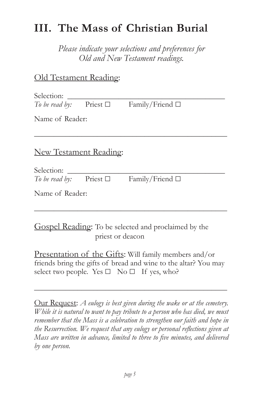### **III. The Mass of Christian Burial**

*Please indicate your selections and preferences for Old and New Testament readings.*

### Old Testament Reading:

| Selection:     |               |                 |  |
|----------------|---------------|-----------------|--|
| To be read by: | Priest $\Box$ | Family/Friend □ |  |

Name of Reader:

### New Testament Reading:

| Selection:     |               |                         |  |
|----------------|---------------|-------------------------|--|
| To be read by: | Priest $\Box$ | Family/Friend $\square$ |  |

\_\_\_\_\_\_\_\_\_\_\_\_\_\_\_\_\_\_\_\_\_\_\_\_\_\_\_\_\_\_\_\_\_\_\_\_\_\_\_\_\_\_\_\_\_\_\_\_\_

Name of Reader:

Gospel Reading: To be selected and proclaimed by the priest or deacon

Presentation of the Gifts: Will family members and/or friends bring the gifts of bread and wine to the altar? You may select two people. Yes  $\Box$  No  $\Box$  If yes, who?

\_\_\_\_\_\_\_\_\_\_\_\_\_\_\_\_\_\_\_\_\_\_\_\_\_\_\_\_\_\_\_\_\_\_\_\_\_\_\_\_\_\_\_\_\_\_\_\_\_

\_\_\_\_\_\_\_\_\_\_\_\_\_\_\_\_\_\_\_\_\_\_\_\_\_\_\_\_\_\_\_\_\_\_\_\_\_\_\_\_\_\_\_\_\_\_\_\_\_

Our Request: *A eulogy is best given during the wake or at the cemetery. While it is natural to want to pay tribute to a person who has died, we must remember that the Mass is a celebration to strengthen our faith and hope in the Resurrection. We request that any eulogy or personal reflections given at Mass are written in advance, limited to three to five minutes, and delivered by one person.*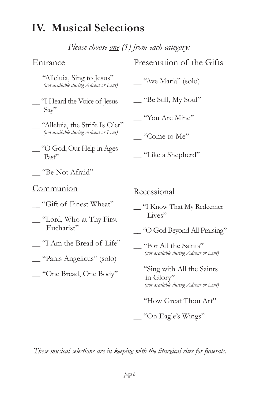### **IV. Musical Selections**

*Please choose one (1) from each category:*

### Entrance

|  | "Alleluia, Sing to Jesus"             |
|--|---------------------------------------|
|  | (not available during Advent or Lent) |

- \_\_ "I Heard the Voice of Jesus Say"
- "Alleluia, the Strife Is O'er" *(not available during Advent or Lent)*
- \_\_ "O God, Our Help in Ages Past"
- \_\_ "Be Not Afraid"

#### **Communion**

- \_\_ "Gift of Finest Wheat"
- \_\_ "Lord, Who at Thy First Eucharist"
- \_\_ "I Am the Bread of Life"
- \_\_ "Panis Angelicus" (solo)
- \_\_ "One Bread, One Body"

### Presentation of the Gifts

\_\_ "Ave Maria" (solo)

\_\_ "Be Still, My Soul"

\_\_ "You Are Mine"

\_\_ "Come to Me"

\_\_ "Like a Shepherd"

Recessional

\_\_ "I Know That My Redeemer Lives"

- \_\_ "O God Beyond All Praising"
- \_\_ "For All the Saints" *(not available during Advent or Lent)*
- \_\_ "Sing with All the Saints in Glory" *(not available during Advent or Lent)*
- \_\_ "How Great Thou Art"

\_\_ "On Eagle's Wings"

*These musical selections are in keeping with the liturgical rites for funerals.*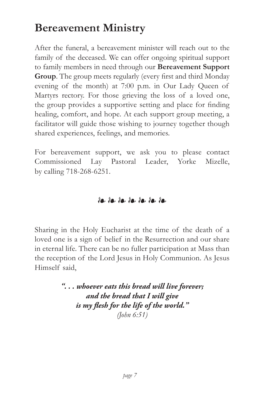### **Bereavement Ministry**

After the funeral, a bereavement minister will reach out to the family of the deceased. We can offer ongoing spiritual support to family members in need through our **Bereavement Support Group**. The group meets regularly (every first and third Monday evening of the month) at 7:00 p.m. in Our Lady Queen of Martyrs rectory. For those grieving the loss of a loved one, the group provides a supportive setting and place for finding healing, comfort, and hope. At each support group meeting, a facilitator will guide those wishing to journey together though shared experiences, feelings, and memories.

For bereavement support, we ask you to please contact Commissioned Lay Pastoral Leader, Yorke Mizelle, by calling 718-268-6251.

### ❧ ❧ ❧ ❧ ❧ ❧ ❧

Sharing in the Holy Eucharist at the time of the death of a loved one is a sign of belief in the Resurrection and our share in eternal life. There can be no fuller participation at Mass than the reception of the Lord Jesus in Holy Communion. As Jesus Himself said,

> *". . . whoever eats this bread will live forever; and the bread that I will give is my flesh for the life of the world." (John 6:51)*